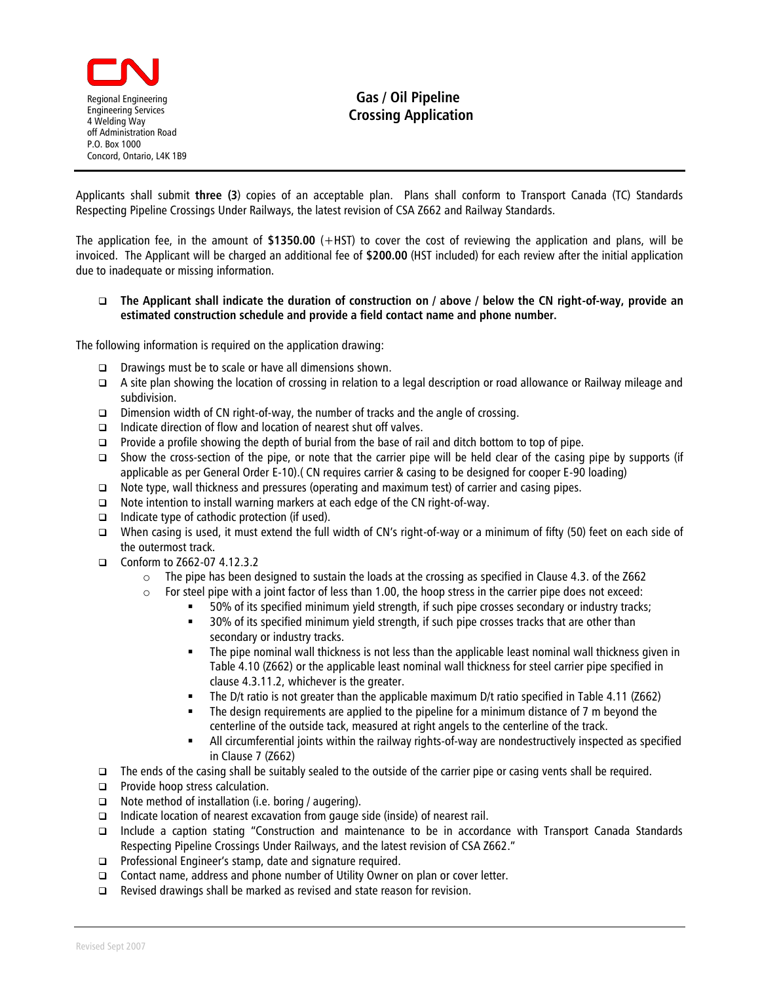

## **Gas / Oil Pipeline Crossing Application**

Applicants shall submit **three (3**) copies of an acceptable plan. Plans shall conform to Transport Canada (TC) Standards Respecting Pipeline Crossings Under Railways, the latest revision of CSA Z662 and Railway Standards.

The application fee, in the amount of **\$1350.00** (+HST) to cover the cost of reviewing the application and plans, will be invoiced. The Applicant will be charged an additional fee of **\$200.00** (HST included) for each review after the initial application due to inadequate or missing information.

## **The Applicant shall indicate the duration of construction on / above / below the CN right-of-way, provide an estimated construction schedule and provide a field contact name and phone number.**

The following information is required on the application drawing:

- Drawings must be to scale or have all dimensions shown.
- A site plan showing the location of crossing in relation to a legal description or road allowance or Railway mileage and subdivision.
- $\Box$  Dimension width of CN right-of-way, the number of tracks and the angle of crossing.
- $\Box$  Indicate direction of flow and location of nearest shut off valves.
- **Provide a profile showing the depth of burial from the base of rail and ditch bottom to top of pipe.**
- Show the cross-section of the pipe, or note that the carrier pipe will be held clear of the casing pipe by supports (if applicable as per General Order E-10).( CN requires carrier & casing to be designed for cooper E-90 loading)
- $\Box$  Note type, wall thickness and pressures (operating and maximum test) of carrier and casing pipes.
- $\Box$  Note intention to install warning markers at each edge of the CN right-of-way.
- $\Box$  Indicate type of cathodic protection (if used).
- When casing is used, it must extend the full width of CN's right-of-way or a minimum of fifty (50) feet on each side of the outermost track.
- □ Conform to Z662-07 4.12.3.2
	- $\circ$  The pipe has been designed to sustain the loads at the crossing as specified in Clause 4.3. of the Z662
	- $\circ$  For steel pipe with a joint factor of less than 1.00, the hoop stress in the carrier pipe does not exceed:
		- 50% of its specified minimum yield strength, if such pipe crosses secondary or industry tracks;
			- 30% of its specified minimum yield strength, if such pipe crosses tracks that are other than secondary or industry tracks.
			- The pipe nominal wall thickness is not less than the applicable least nominal wall thickness given in Table 4.10 (Z662) or the applicable least nominal wall thickness for steel carrier pipe specified in clause 4.3.11.2, whichever is the greater.
			- The D/t ratio is not greater than the applicable maximum D/t ratio specified in Table 4.11 (Z662)
			- The design requirements are applied to the pipeline for a minimum distance of 7 m beyond the centerline of the outside tack, measured at right angels to the centerline of the track.
			- All circumferential joints within the railway rights-of-way are nondestructively inspected as specified in Clause 7 (Z662)
- The ends of the casing shall be suitably sealed to the outside of the carrier pipe or casing vents shall be required.
- **Provide hoop stress calculation.**
- $\Box$  Note method of installation (i.e. boring / augering).
- $\Box$  Indicate location of nearest excavation from gauge side (inside) of nearest rail.
- Include a caption stating "Construction and maintenance to be in accordance with Transport Canada Standards Respecting Pipeline Crossings Under Railways, and the latest revision of CSA Z662."
- □ Professional Engineer's stamp, date and signature required.
- □ Contact name, address and phone number of Utility Owner on plan or cover letter.
- $\Box$  Revised drawings shall be marked as revised and state reason for revision.